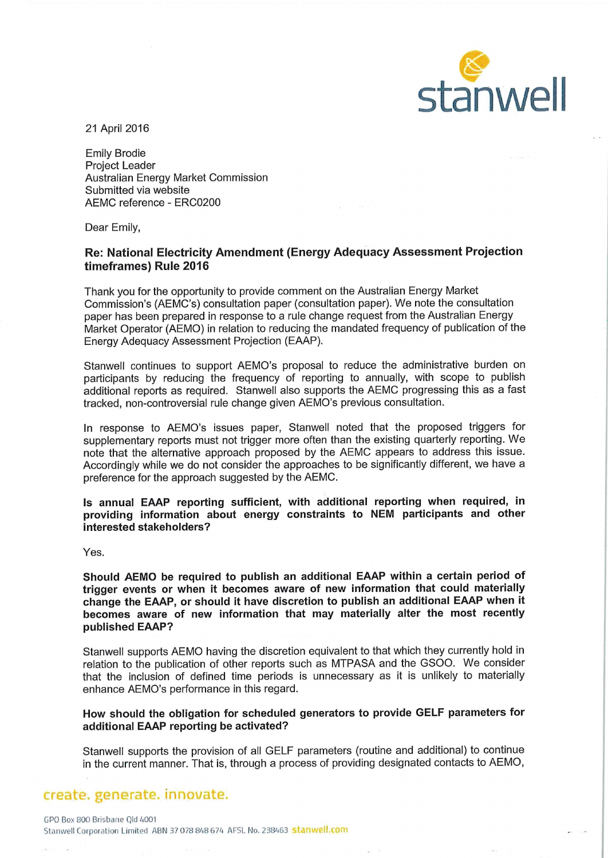

21 April 2016

Emily Brodie Project Leader Australian Energy Market Commission Submitted via website AEMC reference - ERC0200

Dear Emily,

## Re: National Electricity Amendment (Energy Adequacy Assessment Projection timeframes) Rule 2016

Thank you for the opportunity to provide comment on the Australian Energy Market Commission's (AEMC's) consultation paper (consultation paper). We note the consultation paper has been prepared in response to a rule change request from the Australian Energy Market Operator (AEMO) in relation to reducing the mandated frequency of publication of the Energy Adequacy Assessment Projection (EAAP).

Stanwell continues to support AEMO's proposal to reduce the administrative burden on participants by reducing the frequency of reporting to annually, with scope to publish additional reports as required. Stanwell also supports the AEMC progressing this as a fast tracked, non-controversial rule change given AEMO's previous consultation.

In response to AEMO's issues paper, Stanwell noted that the proposed triggers for supplementary reports must not trigger more often than the existing quarterly reporting. We note that the alternative approach proposed by the AEMC appears to address this issue. Accordingly while we do not consider the approaches to be significantly different, we have a preference for the approach suggested by the AEMC.

Is annual EAAP reporting sufficient, with additional reporting when required, in providing information about energy constraints to NEM participants and other interested stakeholders?

Yes.

Should AEMO be required to publish an additional EAAP within a certain period of trigger events or when it becomes aware of new information that could materially change the EAAP, or should it have discretion to publish an additional EAAP when it becomes aware of new information that may materially alter the most recently published EAAP?

Stanwell supports AEMO having the discretion equivalent to that which they currently hold in relation to the publication of other reports such as MTPASA and the GSOO. We consider that the inclusion of defined time periods is unnecessary as it is unlikely to materially enhance AEMO's performance in this regard.

How should the obligation for scheduled generators to provide GELF parameters for additional EAAP reporting be activated?

Stanwell supports the provision of all GELF parameters (routine and additional) to continue in the current manner. That is, through a process of providing designated contacts to AEMO,

## create, generate, innovate.